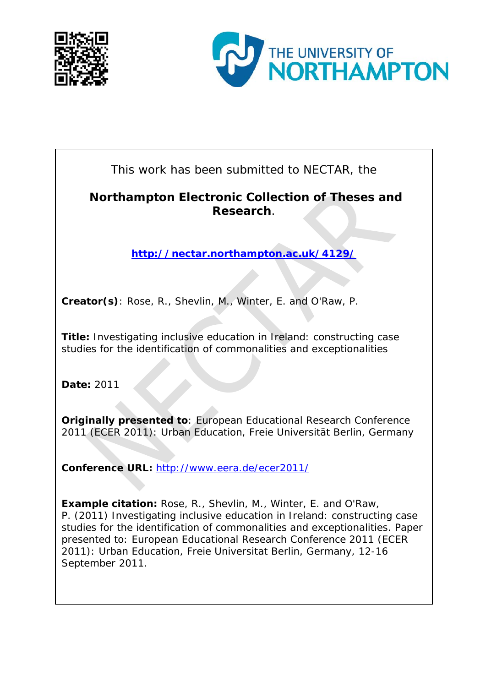



This work has been submitted to NECTAR, the

#### **Northampton Electronic Collection of Theses and Research**.

**<http://nectar.northampton.ac.uk/4129/>**

**Creator(s)**: Rose, R., Shevlin, M., Winter, E. and O'Raw, P.

**Title:** Investigating inclusive education in Ireland: constructing case studies for the identification of commonalities and exceptionalities

**Date:** 2011

**Originally presented to**: European Educational Research Conference 2011 (ECER 2011): Urban Education, Freie Universität Berlin, Germany

**Conference URL:** <http://www.eera.de/ecer2011/>

**Example citation:** Rose, R., Shevlin, M., Winter, E. and O'Raw, P. (2011) Investigating inclusive education in Ireland: constructing case studies for the identification of commonalities and exceptionalities. Paper presented to: *European Educational Research Conference 2011 (ECER 2011): Urban Education, Freie Universitat Berlin, Germany, 12-16 September 2011*.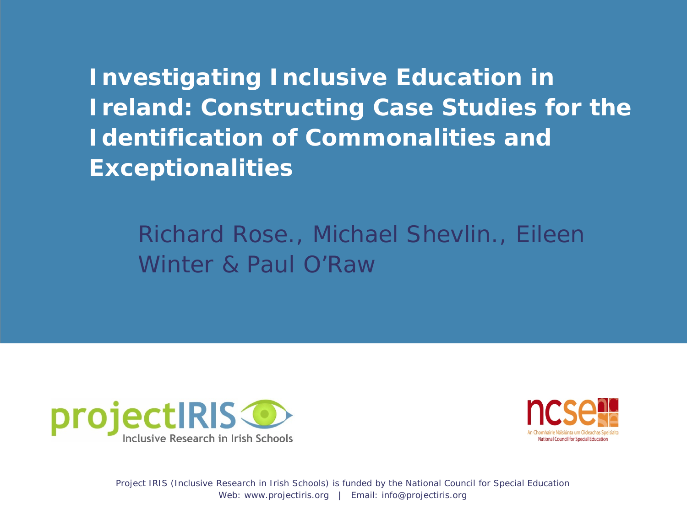**Investigating Inclusive Education in Ireland: Constructing Case Studies for the Identification of Commonalities and Exceptionalities**

Richard Rose., Michael Shevlin., Eileen Winter & Paul O'Raw



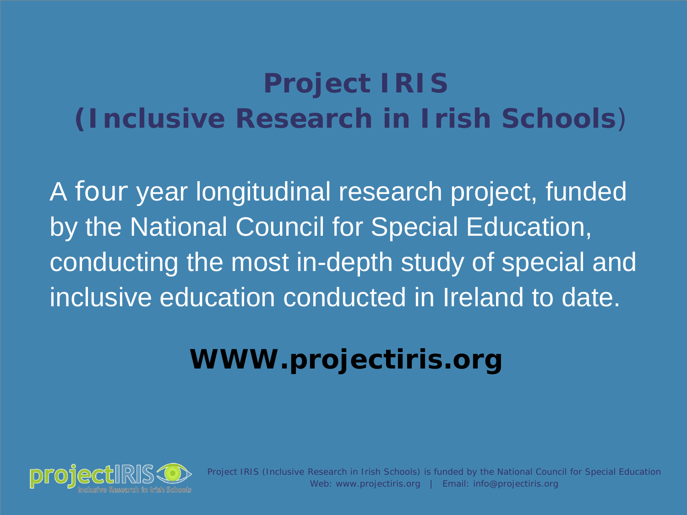# **Project IRIS (Inclusive Research in Irish Schools**)

A four year longitudinal research project, funded by the National Council for Special Education, conducting the most in-depth study of special and inclusive education conducted in Ireland to date.

# **WWW.projectiris.org**

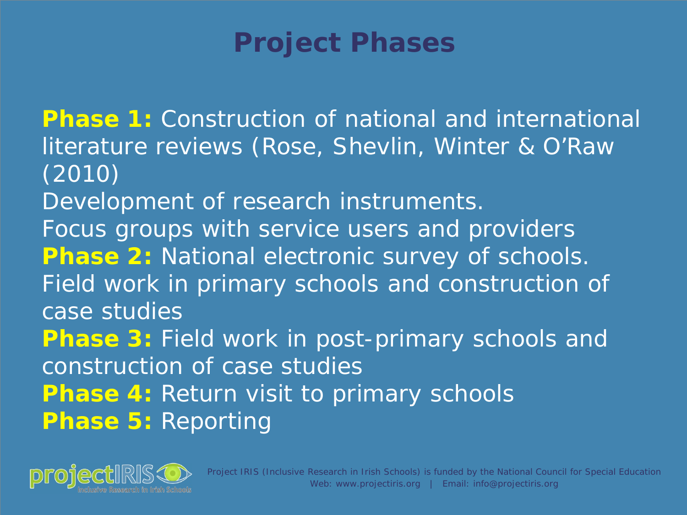## **Project Phases**

**Phase 1:** Construction of national and international literature reviews (Rose, Shevlin, Winter & O'Raw (2010) Development of research instruments. Focus groups with service users and providers **Phase 2: National electronic survey of schools.** Field work in primary schools and construction of case studies **Phase 3:** Field work in post-primary schools and construction of case studies **Phase 4: Return visit to primary schools Phase 5:** Reporting

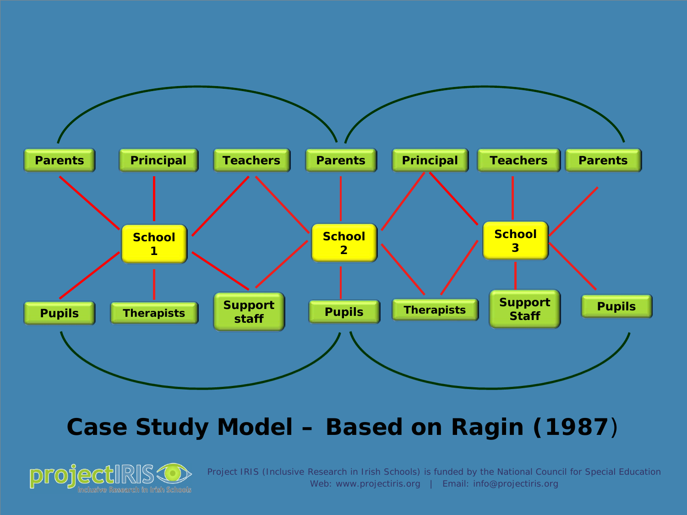

#### **Case Study Model – Based on Ragin (1987**)

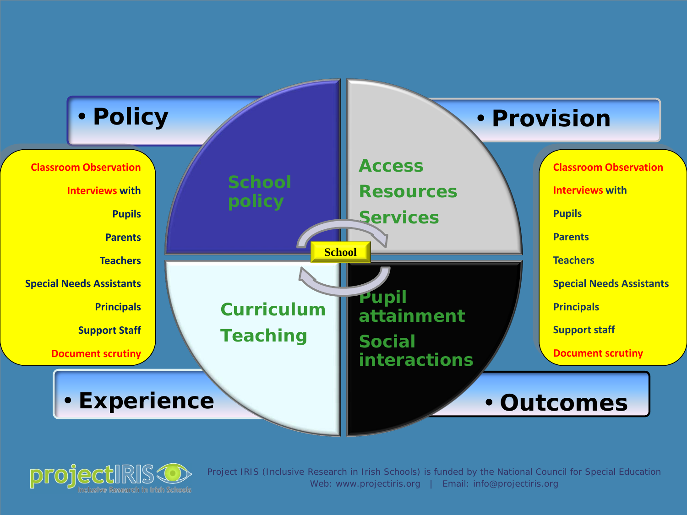

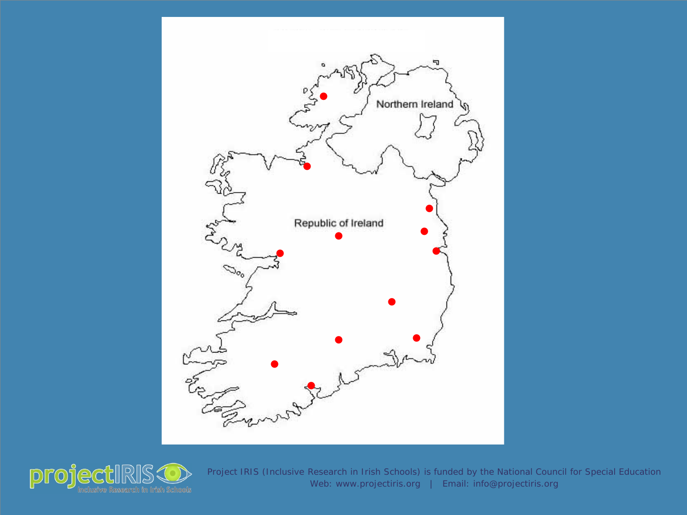

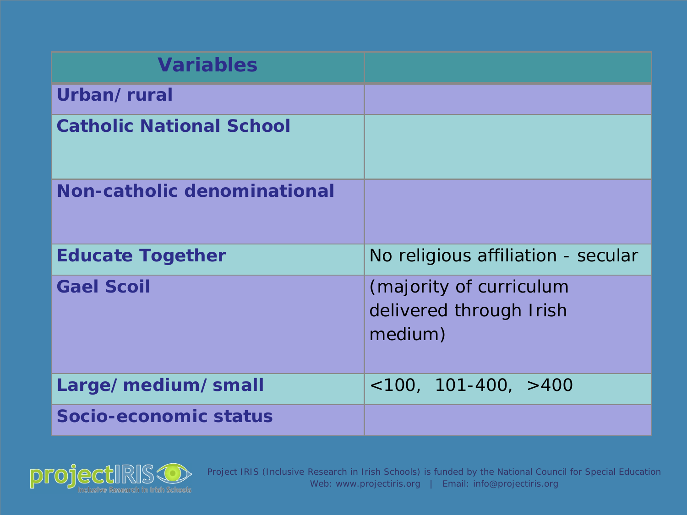| <b>Variables</b>                |                                                               |
|---------------------------------|---------------------------------------------------------------|
| Urban/rural                     |                                                               |
| <b>Catholic National School</b> |                                                               |
| Non-catholic denominational     |                                                               |
| <b>Educate Together</b>         | No religious affiliation - secular                            |
| <b>Gael Scoil</b>               | (majority of curriculum<br>delivered through Irish<br>medium) |
| Large/medium/small              | $<100, 101-400, >400$                                         |
| Socio-economic status           |                                                               |

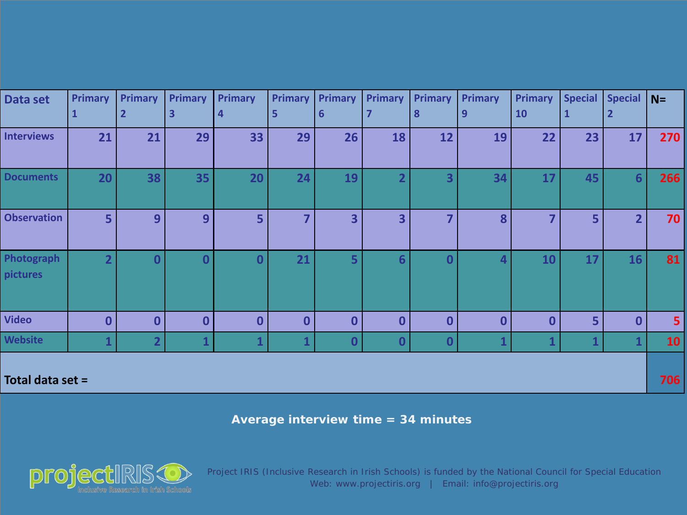| Data set               | <b>Primary</b><br>$\mathbf{1}$ | <b>Primary</b><br>$\mathbf{2}$ | <b>Primary</b><br>3 | <b>Primary</b><br>$\overline{a}$ | <b>Primary</b><br>5 | <b>Primary</b><br>$6\phantom{1}6$ | <b>Primary</b><br>7     | <b>Primary</b><br>8 | <b>Primary</b><br>9 | <b>Primary</b><br>10 | <b>Special</b> | <b>Special</b><br>$\overline{2}$ | $N=$           |
|------------------------|--------------------------------|--------------------------------|---------------------|----------------------------------|---------------------|-----------------------------------|-------------------------|---------------------|---------------------|----------------------|----------------|----------------------------------|----------------|
|                        |                                |                                |                     |                                  |                     |                                   |                         |                     |                     |                      | $\mathbf{1}$   |                                  |                |
| <b>Interviews</b>      | 21                             | 21                             | 29                  | 33                               | 29                  | 26                                | 18                      | 12                  | 19                  | 22                   | 23             | 17                               | 270            |
| <b>Documents</b>       | 20                             | 38                             | 35                  | 20                               | 24                  | 19                                | $\overline{\mathbf{2}}$ | 3                   | 34                  | 17                   | 45             | $6 \overline{6}$                 | 266            |
| <b>Observation</b>     | 5                              | 9                              | 9                   | 5 <sup>1</sup>                   | $\overline{7}$      | 3                                 | 3                       | 7                   | 8                   | 7                    | 5              | $\overline{2}$                   | 70             |
| Photograph<br>pictures | $\overline{2}$                 | $\bf{0}$                       | $\bf{0}$            | $\overline{\mathbf{0}}$          | 21                  | 5                                 | 6                       | ∩                   | 4                   | 10                   | 17             | 16                               | 81             |
| <b>Video</b>           | $\bf{0}$                       | $\bf{0}$                       | $\bf{0}$            | $\boldsymbol{0}$                 | $\mathbf 0$         | $\boldsymbol{0}$                  | $\bf{0}$                | $\bf{0}$            | $\mathbf 0$         | $\bf{0}$             | 5              | $\bf{0}$                         | 5 <sup>1</sup> |
| <b>Website</b>         | $\mathbf{1}$                   | $\overline{2}$                 | 1                   | $\mathbf{1}$                     | 1                   | $\mathbf{0}$                      | $\bf{0}$                | $\bf{0}$            |                     | 1                    |                | $\mathbf{1}$                     | <b>10</b>      |
| Total data set =       |                                |                                |                     |                                  |                     |                                   |                         |                     |                     |                      |                |                                  | 706            |

**Average interview time = 34 minutes**

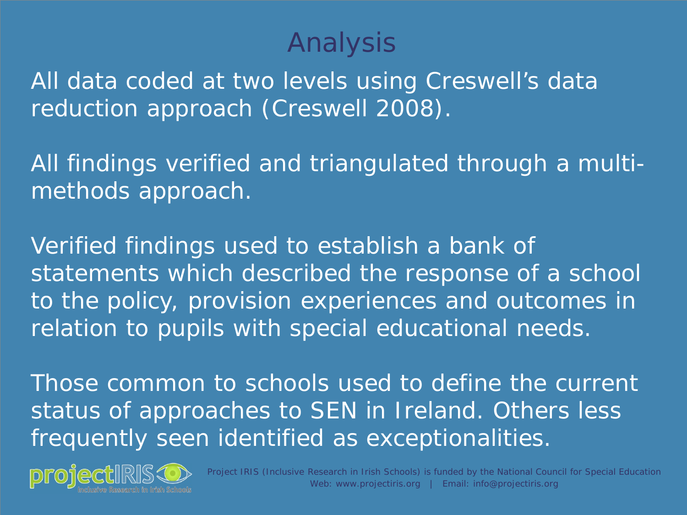## Analysis

All data coded at two levels using Creswell's data reduction approach (Creswell 2008).

All findings verified and triangulated through a multimethods approach.

Verified findings used to establish a bank of statements which described the response of a school to the policy, provision experiences and outcomes in relation to pupils with special educational needs.

Those common to schools used to define the current status of approaches to SEN in Ireland. Others less frequently seen identified as exceptionalities.

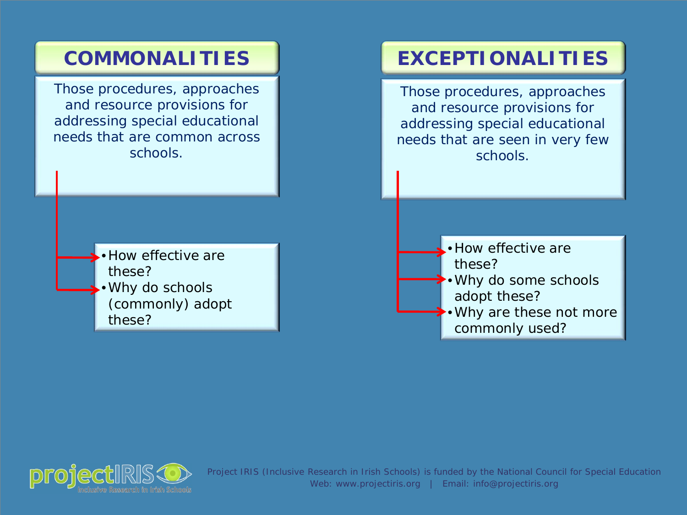

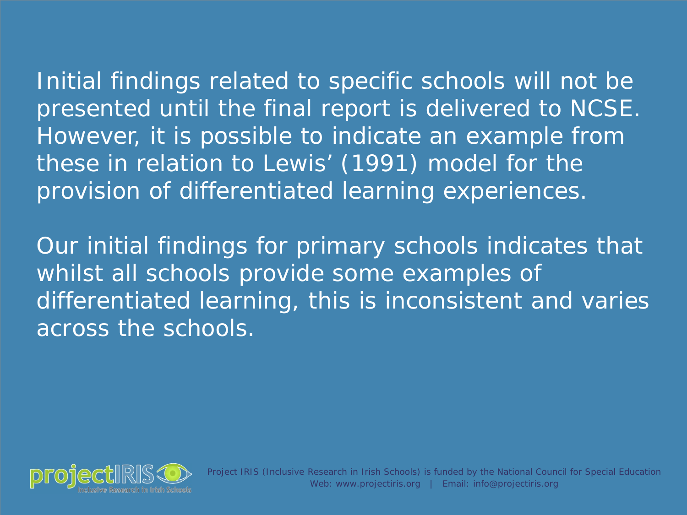Initial findings related to specific schools will not be presented until the final report is delivered to NCSE. However, it is possible to indicate an example from these in relation to Lewis' (1991) model for the provision of differentiated learning experiences.

Our initial findings for primary schools indicates that whilst all schools provide some examples of differentiated learning, this is inconsistent and varies across the schools.

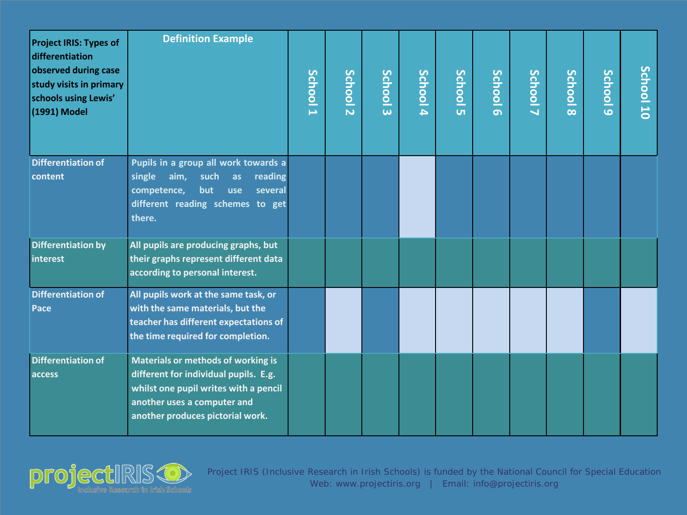| <b>Project IRIS: Types of</b><br>differentiation<br>observed during case<br>study visits in primary<br>schools using Lewis'<br>(1991) Model | <b>Definition Example</b>                                                                                                                                                               | School 1 | School 2 | School <sub>3</sub> | School 4 | <b>School</b><br>$\overline{u}$ | School 6 | School7 | School 8 | School <sub>9</sub> | School 10 |
|---------------------------------------------------------------------------------------------------------------------------------------------|-----------------------------------------------------------------------------------------------------------------------------------------------------------------------------------------|----------|----------|---------------------|----------|---------------------------------|----------|---------|----------|---------------------|-----------|
| <b>Differentiation of</b><br>content                                                                                                        | Pupils in a group all work towards a<br>aim,<br>single<br>such<br>reading<br>as<br>competence,<br>but<br>several<br>use<br>different reading schemes to get<br>there.                   |          |          |                     |          |                                 |          |         |          |                     |           |
| <b>Differentiation by</b><br>interest                                                                                                       | All pupils are producing graphs, but<br>their graphs represent different data<br>according to personal interest.                                                                        |          |          |                     |          |                                 |          |         |          |                     |           |
| <b>Differentiation of</b><br>Pace                                                                                                           | All pupils work at the same task, or<br>with the same materials, but the<br>teacher has different expectations of<br>the time required for completion.                                  |          |          |                     |          |                                 |          |         |          |                     |           |
| <b>Differentiation of</b><br>access                                                                                                         | Materials or methods of working is<br>different for individual pupils. E.g.<br>whilst one pupil writes with a pencil<br>another uses a computer and<br>another produces pictorial work. |          |          |                     |          |                                 |          |         |          |                     |           |

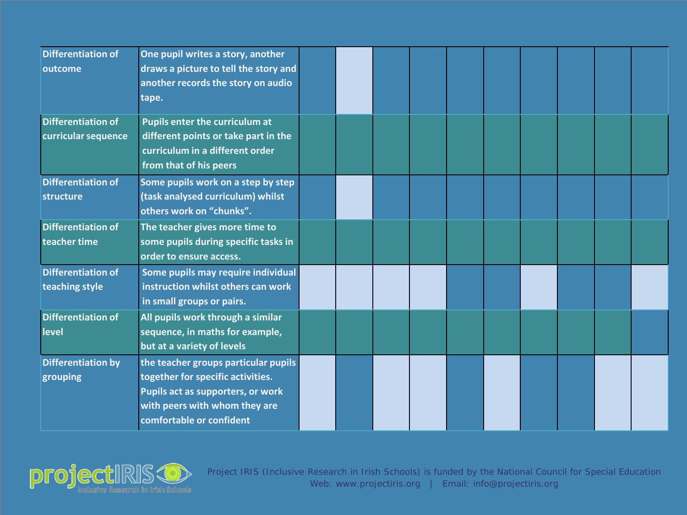| <b>Differentiation of</b><br>outcome             | One pupil writes a story, another<br>draws a picture to tell the story and<br>another records the story on audio<br>tape.                                                   |  |  |  |  |  |
|--------------------------------------------------|-----------------------------------------------------------------------------------------------------------------------------------------------------------------------------|--|--|--|--|--|
| <b>Differentiation of</b><br>curricular sequence | Pupils enter the curriculum at<br>different points or take part in the<br>curriculum in a different order<br>from that of his peers                                         |  |  |  |  |  |
| <b>Differentiation of</b><br>structure           | Some pupils work on a step by step<br>(task analysed curriculum) whilst<br>others work on "chunks".                                                                         |  |  |  |  |  |
| <b>Differentiation of</b><br>teacher time        | The teacher gives more time to<br>some pupils during specific tasks in<br>order to ensure access.                                                                           |  |  |  |  |  |
| <b>Differentiation of</b><br>teaching style      | Some pupils may require individual<br>instruction whilst others can work<br>in small groups or pairs.                                                                       |  |  |  |  |  |
| <b>Differentiation of</b><br>level               | All pupils work through a similar<br>sequence, in maths for example,<br>but at a variety of levels                                                                          |  |  |  |  |  |
| <b>Differentiation by</b><br>grouping            | the teacher groups particular pupils<br>together for specific activities.<br>Pupils act as supporters, or work<br>with peers with whom they are<br>comfortable or confident |  |  |  |  |  |